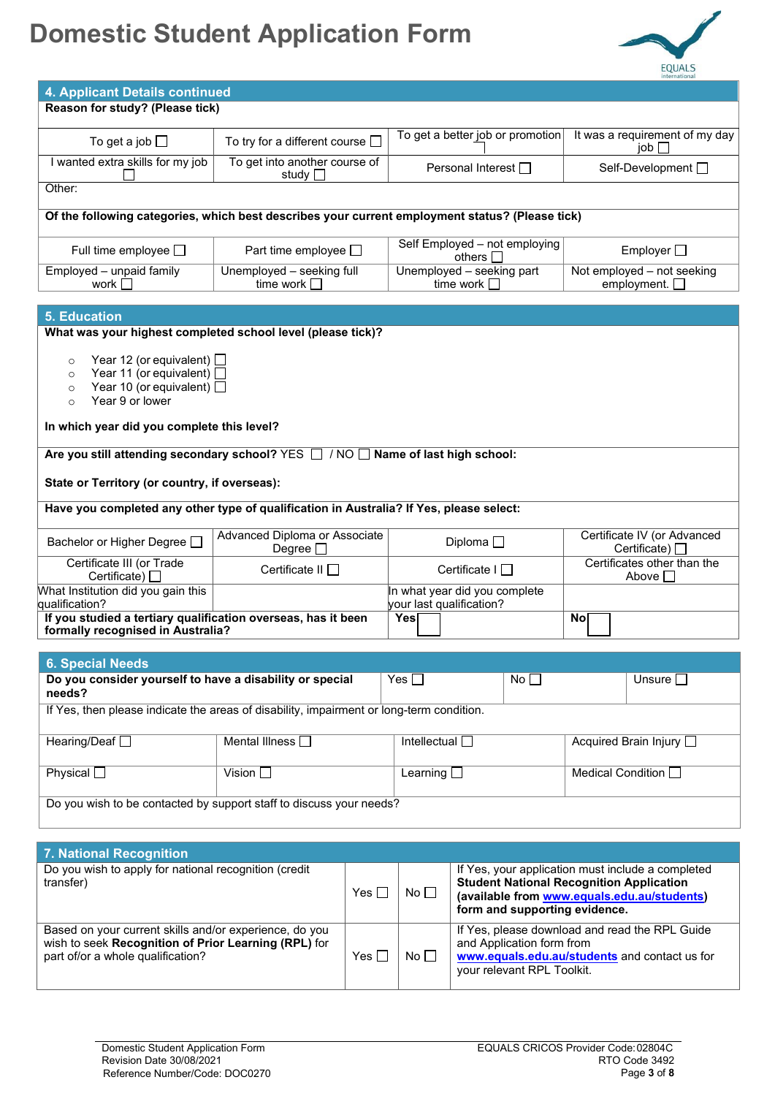## **Domestic Student Application Form**



| 4. Applicant Details continued                                                                                                                                                                                  |                                                   |  |                                                           |                                                                                                                                                                                      |                                                     |                               |  |
|-----------------------------------------------------------------------------------------------------------------------------------------------------------------------------------------------------------------|---------------------------------------------------|--|-----------------------------------------------------------|--------------------------------------------------------------------------------------------------------------------------------------------------------------------------------------|-----------------------------------------------------|-------------------------------|--|
| Reason for study? (Please tick)                                                                                                                                                                                 |                                                   |  |                                                           |                                                                                                                                                                                      |                                                     |                               |  |
| To get a job $\Box$                                                                                                                                                                                             | To try for a different course $\square$           |  | To get a better job or promotion                          |                                                                                                                                                                                      | It was a requirement of my day<br>$\mathsf{job}$    |                               |  |
| I wanted extra skills for my job                                                                                                                                                                                | To get into another course of<br>study $\square$  |  | Personal Interest □                                       |                                                                                                                                                                                      |                                                     | Self-Development <sup>1</sup> |  |
| Other:                                                                                                                                                                                                          |                                                   |  |                                                           |                                                                                                                                                                                      |                                                     |                               |  |
| Of the following categories, which best describes your current employment status? (Please tick)                                                                                                                 |                                                   |  |                                                           |                                                                                                                                                                                      |                                                     |                               |  |
| Full time employee $\square$                                                                                                                                                                                    | Part time employee $\square$                      |  | Self Employed - not employing<br>others $\Box$            |                                                                                                                                                                                      | Employer <sup>[]</sup>                              |                               |  |
| Employed - unpaid family<br>work $\Box$                                                                                                                                                                         | Unemployed - seeking full<br>time work $\square$  |  | Unemployed - seeking part<br>time work $\square$          |                                                                                                                                                                                      | Not employed - not seeking<br>employment. $\square$ |                               |  |
| <b>5. Education</b>                                                                                                                                                                                             |                                                   |  |                                                           |                                                                                                                                                                                      |                                                     |                               |  |
| What was your highest completed school level (please tick)?                                                                                                                                                     |                                                   |  |                                                           |                                                                                                                                                                                      |                                                     |                               |  |
| Year 12 (or equivalent) $\Box$<br>$\circ$<br>Year 11 (or equivalent) $\Box$<br>$\circ$<br>Year 10 (or equivalent) $\Box$<br>$\circ$<br>Year 9 or lower<br>$\circ$<br>In which year did you complete this level? |                                                   |  |                                                           |                                                                                                                                                                                      |                                                     |                               |  |
|                                                                                                                                                                                                                 |                                                   |  |                                                           |                                                                                                                                                                                      |                                                     |                               |  |
| Are you still attending secondary school? $YES \Box / NO \Box$ Name of last high school:                                                                                                                        |                                                   |  |                                                           |                                                                                                                                                                                      |                                                     |                               |  |
| State or Territory (or country, if overseas):                                                                                                                                                                   |                                                   |  |                                                           |                                                                                                                                                                                      |                                                     |                               |  |
| Have you completed any other type of qualification in Australia? If Yes, please select:                                                                                                                         |                                                   |  |                                                           |                                                                                                                                                                                      |                                                     |                               |  |
| Bachelor or Higher Degree D                                                                                                                                                                                     | Advanced Diploma or Associate<br>Degree $\square$ |  | Diploma $\square$                                         |                                                                                                                                                                                      | Certificate IV (or Advanced<br>Certificate) $\Box$  |                               |  |
| Certificate III (or Trade<br>Certificate) $\Box$                                                                                                                                                                | Certificate II □                                  |  | Certificate I □                                           |                                                                                                                                                                                      | Certificates other than the<br>Above $\square$      |                               |  |
| What Institution did you gain this<br>qualification?                                                                                                                                                            |                                                   |  | In what year did you complete<br>your last qualification? |                                                                                                                                                                                      |                                                     |                               |  |
| If you studied a tertiary qualification overseas, has it been<br>formally recognised in Australia?                                                                                                              |                                                   |  | Yes[                                                      |                                                                                                                                                                                      | <b>No</b>                                           |                               |  |
|                                                                                                                                                                                                                 |                                                   |  |                                                           |                                                                                                                                                                                      |                                                     |                               |  |
| <b>6. Special Needs</b>                                                                                                                                                                                         |                                                   |  |                                                           |                                                                                                                                                                                      |                                                     |                               |  |
| Do you consider yourself to have a disability or special<br>Yes $\square$<br>needs?                                                                                                                             |                                                   |  |                                                           | No $\square$                                                                                                                                                                         |                                                     | Unsure $\square$              |  |
| If Yes, then please indicate the areas of disability, impairment or long-term condition.                                                                                                                        |                                                   |  |                                                           |                                                                                                                                                                                      |                                                     |                               |  |
| Hearing/Deaf O                                                                                                                                                                                                  | Mental Illness O                                  |  | Intellectual $\square$                                    |                                                                                                                                                                                      | Acquired Brain Injury □                             |                               |  |
| Physical $\square$                                                                                                                                                                                              | Vision $\square$                                  |  | Learning $\square$                                        |                                                                                                                                                                                      | Medical Condition $\square$                         |                               |  |
| Do you wish to be contacted by support staff to discuss your needs?                                                                                                                                             |                                                   |  |                                                           |                                                                                                                                                                                      |                                                     |                               |  |
|                                                                                                                                                                                                                 |                                                   |  |                                                           |                                                                                                                                                                                      |                                                     |                               |  |
| 7. National Recognition                                                                                                                                                                                         |                                                   |  |                                                           |                                                                                                                                                                                      |                                                     |                               |  |
| Do you wish to apply for national recognition (credit<br>transfer)<br>Yes $\Box$                                                                                                                                |                                                   |  | No $\square$                                              | If Yes, your application must include a completed<br><b>Student National Recognition Application</b><br>(available from www.equals.edu.au/students)<br>form and supporting evidence. |                                                     |                               |  |
| Based on your current skills and/or experience, do you<br>wish to seek Recognition of Prior Learning (RPL) for<br>part of/or a whole qualification?                                                             |                                                   |  | No $\square$                                              | If Yes, please download and read the RPL Guide<br>and Application form from<br>www.equals.edu.au/students and contact us for<br>your relevant RPL Toolkit.                           |                                                     |                               |  |